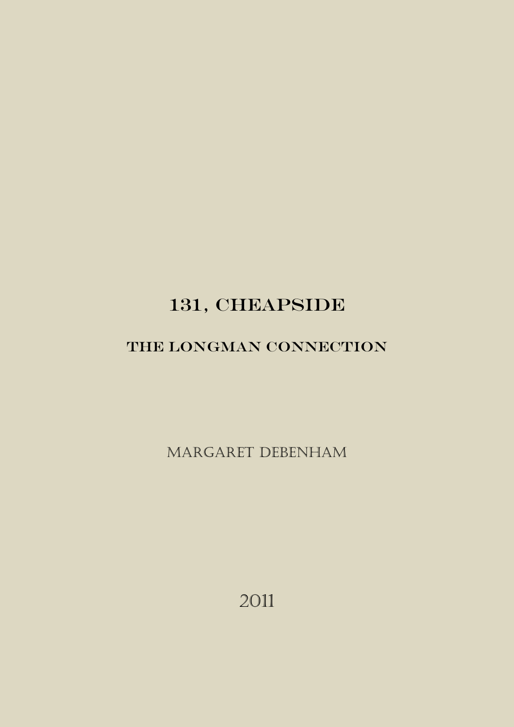# 131, CHEAPSIDE

# THE LONGMAN CONNECTION

Margaret Debenham

2011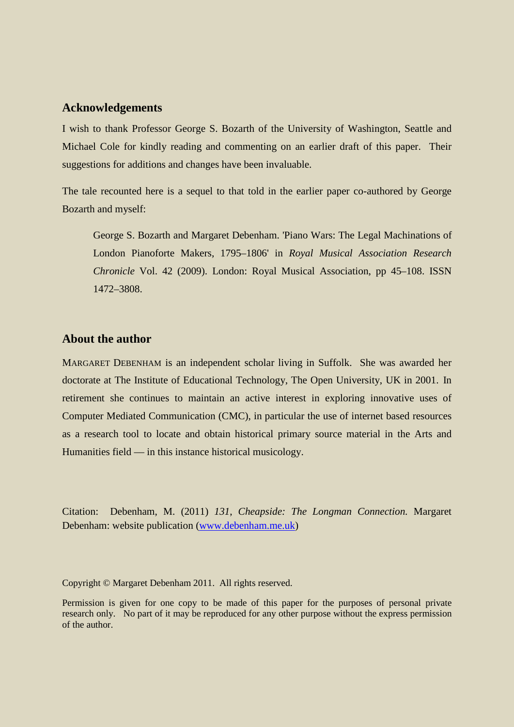#### **Acknowledgements**

I wish to thank Professor George S. Bozarth of the University of Washington, Seattle and Michael Cole for kindly reading and commenting on an earlier draft of this paper. Their suggestions for additions and changes have been invaluable.

The tale recounted here is a sequel to that told in the earlier paper co-authored by George Bozarth and myself:

George S. Bozarth and Margaret Debenham. 'Piano Wars: The Legal Machinations of London Pianoforte Makers, 1795–1806' in *Royal Musical Association Research Chronicle* Vol. 42 (2009). London: Royal Musical Association, pp 45–108. ISSN 1472–3808.

### **About the author**

MARGARET DEBENHAM is an independent scholar living in Suffolk. She was awarded her doctorate at The Institute of Educational Technology, The Open University, UK in 2001. In retirement she continues to maintain an active interest in exploring innovative uses of Computer Mediated Communication (CMC), in particular the use of internet based resources as a research tool to locate and obtain historical primary source material in the Arts and Humanities field — in this instance historical musicology.

Citation: Debenham, M. (2011) *131*, *Cheapside: The Longman Connection.* Margaret Debenham: website publication [\(www.debenham.me.uk\)](http://www.debenham.me.uk/)

Copyright © Margaret Debenham 2011. All rights reserved.

Permission is given for one copy to be made of this paper for the purposes of personal private research only. No part of it may be reproduced for any other purpose without the express permission of the author.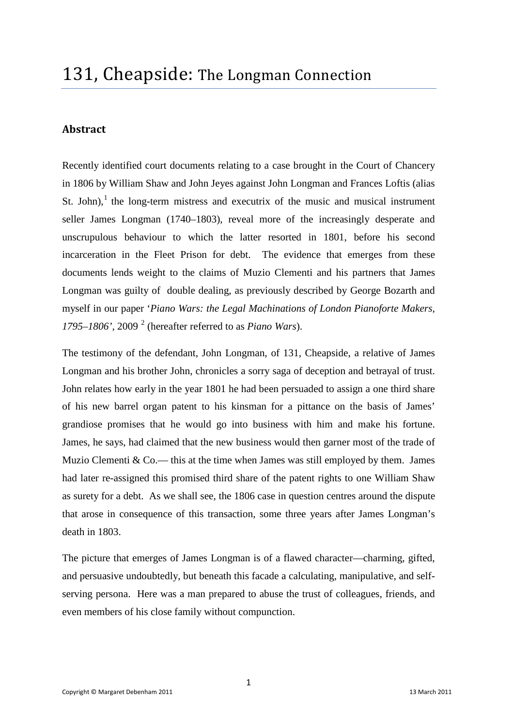# **Abstract**

Recently identified court documents relating to a case brought in the Court of Chancery in 1806 by William Shaw and John Jeyes against John Longman and Frances Loftis (alias St. John), $\frac{1}{1}$  $\frac{1}{1}$  $\frac{1}{1}$  the long-term mistress and executrix of the music and musical instrument seller James Longman (1740–1803), reveal more of the increasingly desperate and unscrupulous behaviour to which the latter resorted in 1801, before his second incarceration in the Fleet Prison for debt. The evidence that emerges from these documents lends weight to the claims of Muzio Clementi and his partners that James Longman was guilty of double dealing, as previously described by George Bozarth and myself in our paper '*Piano Wars: the Legal Machinations of London Pianoforte Makers, 1795–1806',* 2009 [2](#page-13-1) (hereafter referred to as *Piano Wars*).

The testimony of the defendant, John Longman, of 131, Cheapside, a relative of James Longman and his brother John, chronicles a sorry saga of deception and betrayal of trust. John relates how early in the year 1801 he had been persuaded to assign a one third share of his new barrel organ patent to his kinsman for a pittance on the basis of James' grandiose promises that he would go into business with him and make his fortune. James, he says, had claimed that the new business would then garner most of the trade of Muzio Clementi  $& Co.$ — this at the time when James was still employed by them. Jameshad later re-assigned this promised third share of the patent rights to one William Shaw as surety for a debt. As we shall see, the 1806 case in question centres around the dispute that arose in consequence of this transaction, some three years after James Longman's death in 1803.

The picture that emerges of James Longman is of a flawed character––charming, gifted, and persuasive undoubtedly, but beneath this facade a calculating, manipulative, and selfserving persona. Here was a man prepared to abuse the trust of colleagues, friends, and even members of his close family without compunction.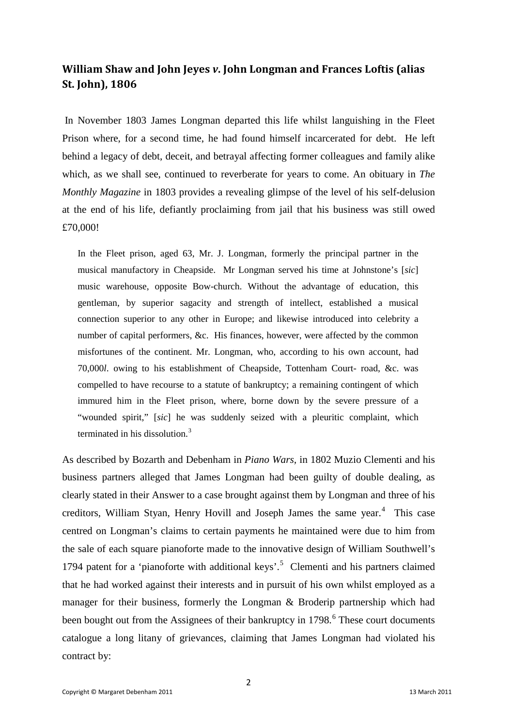# **William Shaw and John Jeyes** *v***. John Longman and Frances Loftis (alias St. John), 1806**

In November 1803 James Longman departed this life whilst languishing in the Fleet Prison where, for a second time, he had found himself incarcerated for debt. He left behind a legacy of debt, deceit, and betrayal affecting former colleagues and family alike which, as we shall see, continued to reverberate for years to come. An obituary in *The Monthly Magazine* in 1803 provides a revealing glimpse of the level of his self-delusion at the end of his life, defiantly proclaiming from jail that his business was still owed £70,000!

In the Fleet prison, aged 63, Mr. J. Longman, formerly the principal partner in the musical manufactory in Cheapside. Mr Longman served his time at Johnstone's [*sic*] music warehouse, opposite Bow-church. Without the advantage of education, this gentleman, by superior sagacity and strength of intellect, established a musical connection superior to any other in Europe; and likewise introduced into celebrity a number of capital performers, &c. His finances, however, were affected by the common misfortunes of the continent. Mr. Longman, who, according to his own account, had 70,000*l*. owing to his establishment of Cheapside, Tottenham Court- road, &c. was compelled to have recourse to a statute of bankruptcy; a remaining contingent of which immured him in the Fleet prison, where, borne down by the severe pressure of a "wounded spirit," [*sic*] he was suddenly seized with a pleuritic complaint, which terminated in his dissolution.<sup>[3](#page-13-2)</sup>

As described by Bozarth and Debenham in *Piano Wars,* in 1802 Muzio Clementi and his business partners alleged that James Longman had been guilty of double dealing, as clearly stated in their Answer to a case brought against them by Longman and three of his creditors, William Styan, Henry Hovill and Joseph James the same year.<sup>[4](#page-13-3)</sup> This case centred on Longman's claims to certain payments he maintained were due to him from the sale of each square pianoforte made to the innovative design of William Southwell's 1794 patent for a 'pianoforte with additional keys'. [5](#page-13-4) Clementi and his partners claimed that he had worked against their interests and in pursuit of his own whilst employed as a manager for their business, formerly the Longman & Broderip partnership which had been bought out from the Assignees of their bankruptcy in 1798.<sup>[6](#page-13-5)</sup> These court documents catalogue a long litany of grievances, claiming that James Longman had violated his contract by: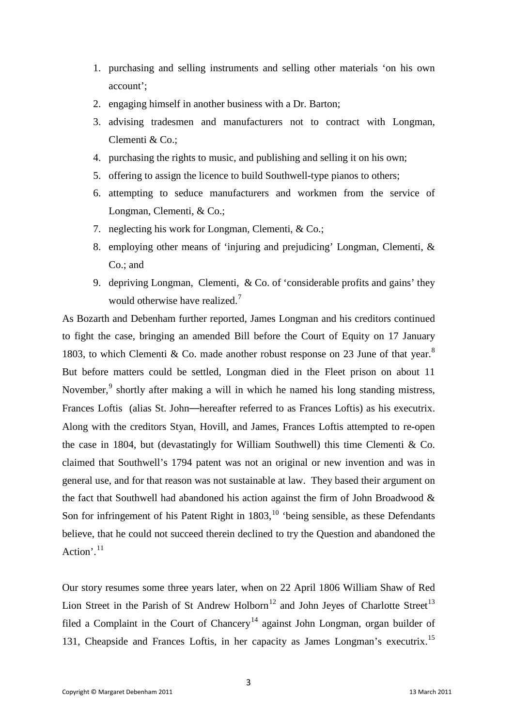- 1. purchasing and selling instruments and selling other materials 'on his own account';
- 2. engaging himself in another business with a Dr. Barton;
- 3. advising tradesmen and manufacturers not to contract with Longman, Clementi & Co.;
- 4. purchasing the rights to music, and publishing and selling it on his own;
- 5. offering to assign the licence to build Southwell-type pianos to others;
- 6. attempting to seduce manufacturers and workmen from the service of Longman, Clementi, & Co.;
- 7. neglecting his work for Longman, Clementi, & Co.;
- 8. employing other means of 'injuring and prejudicing' Longman, Clementi, & Co.; and
- 9. depriving Longman, Clementi, & Co. of 'considerable profits and gains' they would otherwise have realized.<sup>[7](#page-13-6)</sup>

As Bozarth and Debenham further reported, James Longman and his creditors continued to fight the case, bringing an amended Bill before the Court of Equity on 17 January 1[8](#page-14-0)03, to which Clementi & Co. made another robust response on 23 June of that year. $8$ But before matters could be settled, Longman died in the Fleet prison on about 11 November,<sup>[9](#page-14-1)</sup> shortly after making a will in which he named his long standing mistress, Frances Loftis (alias St. John––hereafter referred to as Frances Loftis) as his executrix. Along with the creditors Styan, Hovill, and James, Frances Loftis attempted to re-open the case in 1804, but (devastatingly for William Southwell) this time Clementi & Co. claimed that Southwell's 1794 patent was not an original or new invention and was in general use, and for that reason was not sustainable at law. They based their argument on the fact that Southwell had abandoned his action against the firm of John Broadwood & Son for infringement of his Patent Right in  $1803$ ,<sup>[10](#page-14-2)</sup> 'being sensible, as these Defendants believe, that he could not succeed therein declined to try the Question and abandoned the Action'. $^{11}$  $^{11}$  $^{11}$ 

Our story resumes some three years later, when on 22 April 1806 William Shaw of Red Lion Street in the Parish of St Andrew Holborn<sup>[12](#page-14-4)</sup> and John Jeyes of Charlotte Street<sup>[13](#page-15-0)</sup> filed a Complaint in the Court of Chancery<sup>[14](#page-15-1)</sup> against John Longman, organ builder of 131, Cheapside and Frances Loftis, in her capacity as James Longman's executrix.[15](#page-15-2)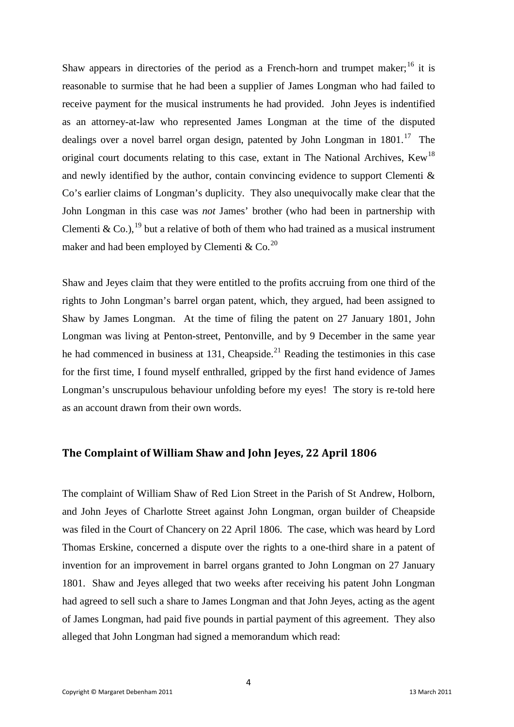Shaw appears in directories of the period as a French-horn and trumpet maker; $^{16}$  $^{16}$  $^{16}$  it is reasonable to surmise that he had been a supplier of James Longman who had failed to receive payment for the musical instruments he had provided. John Jeyes is indentified as an attorney-at-law who represented James Longman at the time of the disputed dealings over a novel barrel organ design, patented by John Longman in  $1801$ <sup>[17](#page-15-4)</sup>. The original court documents relating to this case, extant in The National Archives, Kew<sup>[18](#page-15-5)</sup> and newly identified by the author, contain convincing evidence to support Clementi & Co's earlier claims of Longman's duplicity. They also unequivocally make clear that the John Longman in this case was *not* James' brother (who had been in partnership with Clementi & Co.), <sup>[19](#page-15-6)</sup> but a relative of both of them who had trained as a musical instrument maker and had been employed by Clementi & Co.<sup>[20](#page-16-0)</sup>

Shaw and Jeyes claim that they were entitled to the profits accruing from one third of the rights to John Longman's barrel organ patent, which, they argued, had been assigned to Shaw by James Longman. At the time of filing the patent on 27 January 1801, John Longman was living at Penton-street, Pentonville, and by 9 December in the same year he had commenced in business at 131, Cheapside.<sup>[21](#page-16-1)</sup> Reading the testimonies in this case for the first time, I found myself enthralled, gripped by the first hand evidence of James Longman's unscrupulous behaviour unfolding before my eyes! The story is re-told here as an account drawn from their own words.

#### **The Complaint of William Shaw and John Jeyes, 22 April 1806**

The complaint of William Shaw of Red Lion Street in the Parish of St Andrew, Holborn, and John Jeyes of Charlotte Street against John Longman, organ builder of Cheapside was filed in the Court of Chancery on 22 April 1806. The case, which was heard by Lord Thomas Erskine, concerned a dispute over the rights to a one-third share in a patent of invention for an improvement in barrel organs granted to John Longman on 27 January 1801. Shaw and Jeyes alleged that two weeks after receiving his patent John Longman had agreed to sell such a share to James Longman and that John Jeyes, acting as the agent of James Longman, had paid five pounds in partial payment of this agreement. They also alleged that John Longman had signed a memorandum which read: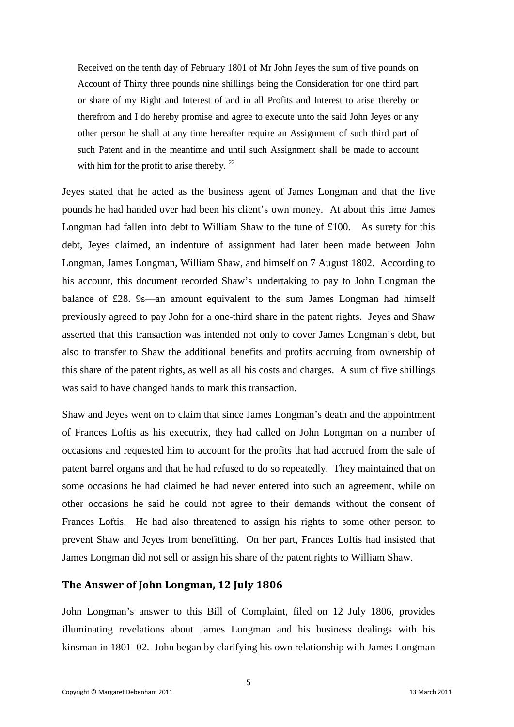Received on the tenth day of February 1801 of Mr John Jeyes the sum of five pounds on Account of Thirty three pounds nine shillings being the Consideration for one third part or share of my Right and Interest of and in all Profits and Interest to arise thereby or therefrom and I do hereby promise and agree to execute unto the said John Jeyes or any other person he shall at any time hereafter require an Assignment of such third part of such Patent and in the meantime and until such Assignment shall be made to account with him for the profit to arise thereby.<sup>[22](#page-16-2)</sup>

Jeyes stated that he acted as the business agent of James Longman and that the five pounds he had handed over had been his client's own money. At about this time James Longman had fallen into debt to William Shaw to the tune of  $\text{\pounds}100$ . As surety for this debt, Jeyes claimed, an indenture of assignment had later been made between John Longman, James Longman, William Shaw, and himself on 7 August 1802. According to his account, this document recorded Shaw's undertaking to pay to John Longman the balance of £28. 9s––an amount equivalent to the sum James Longman had himself previously agreed to pay John for a one-third share in the patent rights. Jeyes and Shaw asserted that this transaction was intended not only to cover James Longman's debt, but also to transfer to Shaw the additional benefits and profits accruing from ownership of this share of the patent rights, as well as all his costs and charges. A sum of five shillings was said to have changed hands to mark this transaction.

Shaw and Jeyes went on to claim that since James Longman's death and the appointment of Frances Loftis as his executrix, they had called on John Longman on a number of occasions and requested him to account for the profits that had accrued from the sale of patent barrel organs and that he had refused to do so repeatedly. They maintained that on some occasions he had claimed he had never entered into such an agreement, while on other occasions he said he could not agree to their demands without the consent of Frances Loftis. He had also threatened to assign his rights to some other person to prevent Shaw and Jeyes from benefitting. On her part, Frances Loftis had insisted that James Longman did not sell or assign his share of the patent rights to William Shaw.

#### **The Answer of John Longman, 12 July 1806**

John Longman's answer to this Bill of Complaint, filed on 12 July 1806, provides illuminating revelations about James Longman and his business dealings with his kinsman in 1801–02. John began by clarifying his own relationship with James Longman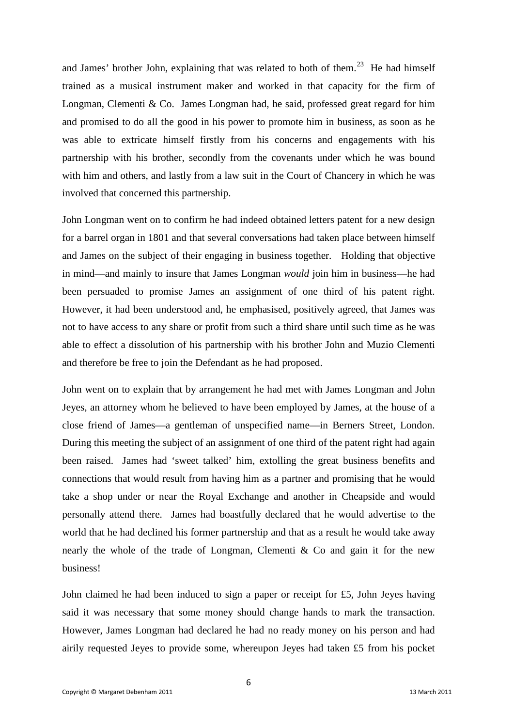and James' brother John, explaining that was related to both of them.<sup>[23](#page-16-3)</sup> He had himself trained as a musical instrument maker and worked in that capacity for the firm of Longman, Clementi & Co. James Longman had, he said, professed great regard for him and promised to do all the good in his power to promote him in business, as soon as he was able to extricate himself firstly from his concerns and engagements with his partnership with his brother, secondly from the covenants under which he was bound with him and others, and lastly from a law suit in the Court of Chancery in which he was involved that concerned this partnership.

John Longman went on to confirm he had indeed obtained letters patent for a new design for a barrel organ in 1801 and that several conversations had taken place between himself and James on the subject of their engaging in business together. Holding that objective in mind—and mainly to insure that James Longman *would* join him in business—he had been persuaded to promise James an assignment of one third of his patent right. However, it had been understood and, he emphasised, positively agreed, that James was not to have access to any share or profit from such a third share until such time as he was able to effect a dissolution of his partnership with his brother John and Muzio Clementi and therefore be free to join the Defendant as he had proposed.

John went on to explain that by arrangement he had met with James Longman and John Jeyes, an attorney whom he believed to have been employed by James, at the house of a close friend of James—a gentleman of unspecified name—in Berners Street, London. During this meeting the subject of an assignment of one third of the patent right had again been raised. James had 'sweet talked' him, extolling the great business benefits and connections that would result from having him as a partner and promising that he would take a shop under or near the Royal Exchange and another in Cheapside and would personally attend there. James had boastfully declared that he would advertise to the world that he had declined his former partnership and that as a result he would take away nearly the whole of the trade of Longman, Clementi  $\&$  Co and gain it for the new business!

John claimed he had been induced to sign a paper or receipt for £5, John Jeyes having said it was necessary that some money should change hands to mark the transaction. However, James Longman had declared he had no ready money on his person and had airily requested Jeyes to provide some, whereupon Jeyes had taken £5 from his pocket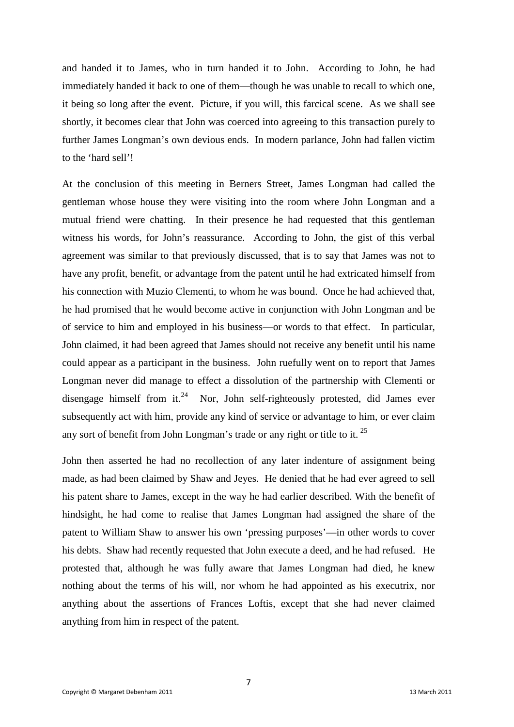and handed it to James, who in turn handed it to John. According to John, he had immediately handed it back to one of them—though he was unable to recall to which one, it being so long after the event. Picture, if you will, this farcical scene. As we shall see shortly, it becomes clear that John was coerced into agreeing to this transaction purely to further James Longman's own devious ends. In modern parlance, John had fallen victim to the 'hard sell'!

At the conclusion of this meeting in Berners Street, James Longman had called the gentleman whose house they were visiting into the room where John Longman and a mutual friend were chatting. In their presence he had requested that this gentleman witness his words, for John's reassurance. According to John, the gist of this verbal agreement was similar to that previously discussed, that is to say that James was not to have any profit, benefit, or advantage from the patent until he had extricated himself from his connection with Muzio Clementi, to whom he was bound. Once he had achieved that, he had promised that he would become active in conjunction with John Longman and be of service to him and employed in his business—or words to that effect. In particular, John claimed, it had been agreed that James should not receive any benefit until his name could appear as a participant in the business. John ruefully went on to report that James Longman never did manage to effect a dissolution of the partnership with Clementi or disengage himself from it.<sup>24</sup> Nor, John self-righteously protested, did James ever subsequently act with him, provide any kind of service or advantage to him, or ever claim any sort of benefit from John Longman's trade or any right or title to it. [25](#page-17-0)

John then asserted he had no recollection of any later indenture of assignment being made, as had been claimed by Shaw and Jeyes. He denied that he had ever agreed to sell his patent share to James, except in the way he had earlier described. With the benefit of hindsight, he had come to realise that James Longman had assigned the share of the patent to William Shaw to answer his own 'pressing purposes'––in other words to cover his debts. Shaw had recently requested that John execute a deed, and he had refused. He protested that, although he was fully aware that James Longman had died, he knew nothing about the terms of his will, nor whom he had appointed as his executrix, nor anything about the assertions of Frances Loftis, except that she had never claimed anything from him in respect of the patent.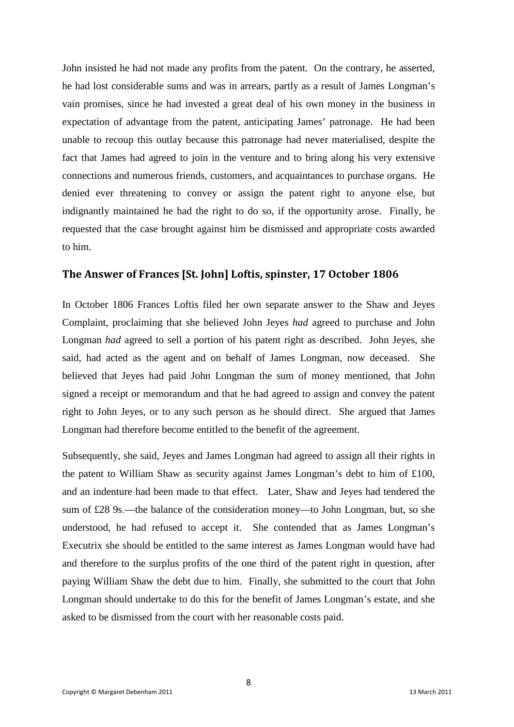John insisted he had not made any profits from the patent. On the contrary, he asserted, he had lost considerable sums and was in arrears, partly as a result of James Longman's vain promises, since he had invested a great deal of his own money in the business in expectation of advantage from the patent, anticipating James' patronage. He had been unable to recoup this outlay because this patronage had never materialised, despite the fact that James had agreed to join in the venture and to bring along his very extensive connections and numerous friends, customers, and acquaintances to purchase organs. He denied ever threatening to convey or assign the patent right to anyone else, but indignantly maintained he had the right to do so, if the opportunity arose. Finally, he requested that the case brought against him be dismissed and appropriate costs awarded to him.

#### **The Answer of Frances [St. John] Loftis, spinster, 17 October 1806**

In October 1806 Frances Loftis filed her own separate answer to the Shaw and Jeyes Complaint, proclaiming that she believed John Jeyes *had* agreed to purchase and John Longman *had* agreed to sell a portion of his patent right as described. John Jeyes, she said, had acted as the agent and on behalf of James Longman, now deceased. She believed that Jeyes had paid John Longman the sum of money mentioned, that John signed a receipt or memorandum and that he had agreed to assign and convey the patent right to John Jeyes, or to any such person as he should direct. She argued that James Longman had therefore become entitled to the benefit of the agreement.

Subsequently, she said, Jeyes and James Longman had agreed to assign all their rights in the patent to William Shaw as security against James Longman's debt to him of £100, and an indenture had been made to that effect. Later, Shaw and Jeyes had tendered the sum of £28 9s.—the balance of the consideration money—to John Longman, but, so she understood, he had refused to accept it. She contended that as James Longman's Executrix she should be entitled to the same interest as James Longman would have had and therefore to the surplus profits of the one third of the patent right in question, after paying William Shaw the debt due to him. Finally, she submitted to the court that John Longman should undertake to do this for the benefit of James Longman's estate, and she asked to be dismissed from the court with her reasonable costs paid.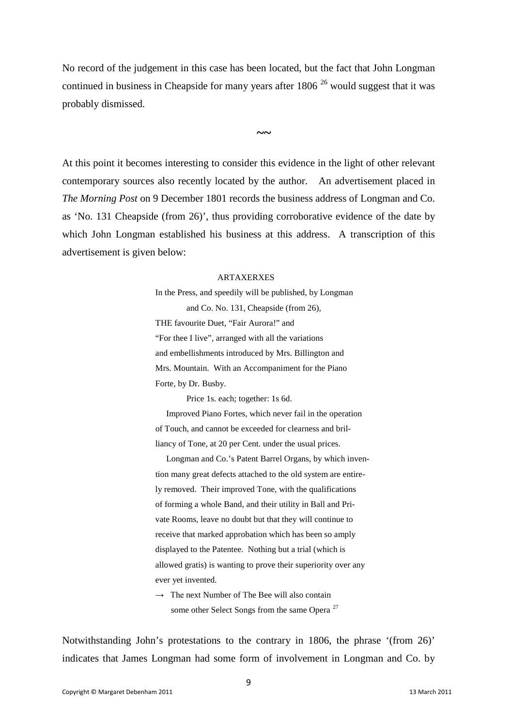No record of the judgement in this case has been located, but the fact that John Longman continued in business in Cheapside for many years after  $1806<sup>26</sup>$  $1806<sup>26</sup>$  $1806<sup>26</sup>$  would suggest that it was probably dismissed.

**~~**

At this point it becomes interesting to consider this evidence in the light of other relevant contemporary sources also recently located by the author. An advertisement placed in *The Morning Post* on 9 December 1801 records the business address of Longman and Co. as 'No. 131 Cheapside (from 26)', thus providing corroborative evidence of the date by which John Longman established his business at this address. A transcription of this advertisement is given below:

#### ARTAXERXES

In the Press, and speedily will be published, by Longman and Co. No. 131, Cheapside (from 26), THE favourite Duet, "Fair Aurora!" and "For thee I live", arranged with all the variations and embellishments introduced by Mrs. Billington and Mrs. Mountain. With an Accompaniment for the Piano Forte, by Dr. Busby.

Price 1s. each; together: 1s 6d.

 Improved Piano Fortes, which never fail in the operation of Touch, and cannot be exceeded for clearness and brilliancy of Tone, at 20 per Cent. under the usual prices.

 Longman and Co.'s Patent Barrel Organs, by which invention many great defects attached to the old system are entirely removed. Their improved Tone, with the qualifications of forming a whole Band, and their utility in Ball and Private Rooms, leave no doubt but that they will continue to receive that marked approbation which has been so amply displayed to the Patentee. Nothing but a trial (which is allowed gratis) is wanting to prove their superiority over any ever yet invented.

 $\rightarrow$  The next Number of The Bee will also contain some other Select Songs from the same Opera<sup>[27](#page-17-2)</sup>

Notwithstanding John's protestations to the contrary in 1806, the phrase '(from 26)' indicates that James Longman had some form of involvement in Longman and Co. by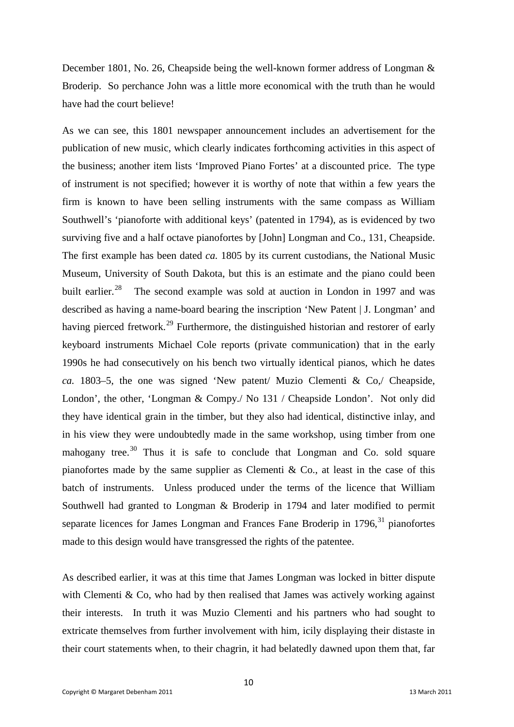December 1801, No. 26, Cheapside being the well-known former address of Longman & Broderip. So perchance John was a little more economical with the truth than he would have had the court believe!

As we can see, this 1801 newspaper announcement includes an advertisement for the publication of new music, which clearly indicates forthcoming activities in this aspect of the business; another item lists 'Improved Piano Fortes' at a discounted price. The type of instrument is not specified; however it is worthy of note that within a few years the firm is known to have been selling instruments with the same compass as William Southwell's 'pianoforte with additional keys' (patented in 1794), as is evidenced by two surviving five and a half octave pianofortes by [John] Longman and Co., 131, Cheapside. The first example has been dated *ca.* 1805 by its current custodians, the National Music Museum, University of South Dakota, but this is an estimate and the piano could been built earlier.<sup>[28](#page-17-3)</sup> The second example was sold at auction in London in 1997 and was described as having a name-board bearing the inscription 'New Patent | J. Longman' and having pierced fretwork.<sup>[29](#page-17-4)</sup> Furthermore, the distinguished historian and restorer of early keyboard instruments Michael Cole reports (private communication) that in the early 1990s he had consecutively on his bench two virtually identical pianos, which he dates *ca.* 1803–5, the one was signed 'New patent/ Muzio Clementi & Co,/ Cheapside, London', the other, 'Longman & Compy./ No 131 / Cheapside London'. Not only did they have identical grain in the timber, but they also had identical, distinctive inlay, and in his view they were undoubtedly made in the same workshop, using timber from one mahogany tree.<sup>[30](#page-17-5)</sup> Thus it is safe to conclude that Longman and Co. sold square pianofortes made by the same supplier as Clementi  $\&$  Co., at least in the case of this batch of instruments. Unless produced under the terms of the licence that William Southwell had granted to Longman & Broderip in 1794 and later modified to permit separate licences for James Longman and Frances Fane Broderip in 1796,<sup>[31](#page-17-6)</sup> pianofortes made to this design would have transgressed the rights of the patentee.

As described earlier, it was at this time that James Longman was locked in bitter dispute with Clementi  $\&$  Co, who had by then realised that James was actively working against their interests. In truth it was Muzio Clementi and his partners who had sought to extricate themselves from further involvement with him, icily displaying their distaste in their court statements when, to their chagrin, it had belatedly dawned upon them that, far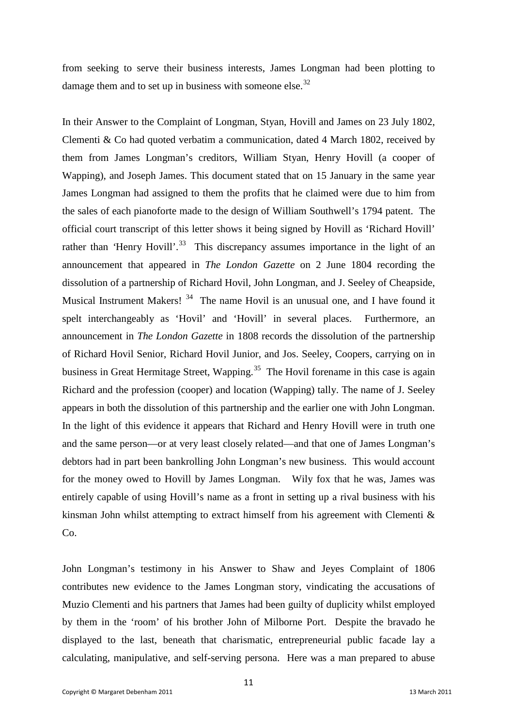from seeking to serve their business interests, James Longman had been plotting to damage them and to set up in business with someone else.<sup>32</sup>

In their Answer to the Complaint of Longman, Styan, Hovill and James on 23 July 1802, Clementi & Co had quoted verbatim a communication, dated 4 March 1802, received by them from James Longman's creditors, William Styan, Henry Hovill (a cooper of Wapping), and Joseph James. This document stated that on 15 January in the same year James Longman had assigned to them the profits that he claimed were due to him from the sales of each pianoforte made to the design of William Southwell's 1794 patent. The official court transcript of this letter shows it being signed by Hovill as 'Richard Hovill' rather than 'Henry Hovill'.<sup>33</sup> This discrepancy assumes importance in the light of an announcement that appeared in *The London Gazette* on 2 June 1804 recording the dissolution of a partnership of Richard Hovil, John Longman, and J. Seeley of Cheapside, Musical Instrument Makers! [34](#page-18-0) The name Hovil is an unusual one, and I have found it spelt interchangeably as 'Hovil' and 'Hovill' in several places. Furthermore, an announcement in *The London Gazette* in 1808 records the dissolution of the partnership of Richard Hovil Senior, Richard Hovil Junior, and Jos. Seeley, Coopers, carrying on in business in Great Hermitage Street, Wapping.<sup>[35](#page-19-0)</sup> The Hovil forename in this case is again Richard and the profession (cooper) and location (Wapping) tally. The name of J. Seeley appears in both the dissolution of this partnership and the earlier one with John Longman. In the light of this evidence it appears that Richard and Henry Hovill were in truth one and the same person—or at very least closely related––and that one of James Longman's debtors had in part been bankrolling John Longman's new business. This would account for the money owed to Hovill by James Longman. Wily fox that he was, James was entirely capable of using Hovill's name as a front in setting up a rival business with his kinsman John whilst attempting to extract himself from his agreement with Clementi &  $Co.$ 

John Longman's testimony in his Answer to Shaw and Jeyes Complaint of 1806 contributes new evidence to the James Longman story, vindicating the accusations of Muzio Clementi and his partners that James had been guilty of duplicity whilst employed by them in the 'room' of his brother John of Milborne Port. Despite the bravado he displayed to the last, beneath that charismatic, entrepreneurial public facade lay a calculating, manipulative, and self-serving persona. Here was a man prepared to abuse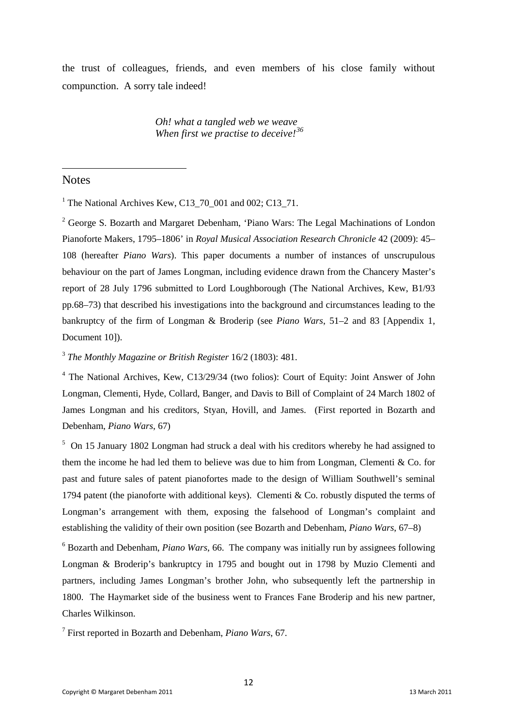the trust of colleagues, friends, and even members of his close family without compunction. A sorry tale indeed!

> *Oh! what a tangled web we weave When first we practise to deceive![36](#page-19-1)*

## <span id="page-13-0"></span>Notes

**.** 

<sup>1</sup> The National Archives Kew, C13  $70$  001 and 002; C13  $71$ .

<span id="page-13-1"></span><sup>2</sup> George S. Bozarth and Margaret Debenham, 'Piano Wars: The Legal Machinations of London Pianoforte Makers, 1795–1806' in *Royal Musical Association Research Chronicle* 42 (2009): 45– 108 (hereafter *Piano Wars*). This paper documents a number of instances of unscrupulous behaviour on the part of James Longman, including evidence drawn from the Chancery Master's report of 28 July 1796 submitted to Lord Loughborough (The National Archives, Kew, B1/93 pp.68–73) that described his investigations into the background and circumstances leading to the bankruptcy of the firm of Longman & Broderip (see *Piano Wars*, 51–2 and 83 [Appendix 1, Document 101).

<span id="page-13-2"></span><sup>3</sup> *The Monthly Magazine or British Register* 16/2 (1803): 481.

<span id="page-13-3"></span><sup>4</sup> The National Archives, Kew, C13/29/34 (two folios): Court of Equity: Joint Answer of John Longman, Clementi, Hyde, Collard, Banger, and Davis to Bill of Complaint of 24 March 1802 of James Longman and his creditors, Styan, Hovill, and James. (First reported in Bozarth and Debenham, *Piano Wars*, 67)

<span id="page-13-4"></span><sup>5</sup> On 15 January 1802 Longman had struck a deal with his creditors whereby he had assigned to them the income he had led them to believe was due to him from Longman, Clementi & Co. for past and future sales of patent pianofortes made to the design of William Southwell's seminal 1794 patent (the pianoforte with additional keys). Clementi & Co. robustly disputed the terms of Longman's arrangement with them, exposing the falsehood of Longman's complaint and establishing the validity of their own position (see Bozarth and Debenham, *Piano Wars*, 67–8)

<span id="page-13-5"></span><sup>6</sup> Bozarth and Debenham, *Piano Wars*, 66. The company was initially run by assignees following Longman & Broderip's bankruptcy in 1795 and bought out in 1798 by Muzio Clementi and partners, including James Longman's brother John, who subsequently left the partnership in 1800. The Haymarket side of the business went to Frances Fane Broderip and his new partner, Charles Wilkinson.

<span id="page-13-6"></span><sup>7</sup> First reported in Bozarth and Debenham, *Piano Wars*, 67.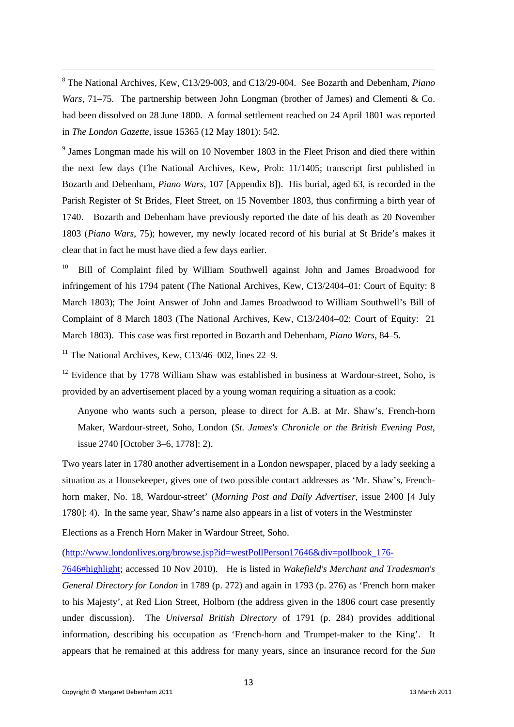<span id="page-14-0"></span><sup>8</sup> The National Archives, Kew, C13/29-003, and C13/29-004. See Bozarth and Debenham, *Piano Wars,* 71–75. The partnership between John Longman (brother of James) and Clementi & Co. had been dissolved on 28 June 1800. A formal settlement reached on 24 April 1801 was reported in *The London Gazette,* issue 15365 (12 May 1801): 542.

<span id="page-14-1"></span><sup>9</sup> James Longman made his will on 10 November 1803 in the Fleet Prison and died there within the next few days (The National Archives, Kew, Prob: 11/1405; transcript first published in Bozarth and Debenham, *Piano Wars*, 107 [Appendix 8]). His burial, aged 63, is recorded in the Parish Register of St Brides, Fleet Street, on 15 November 1803*,* thus confirming a birth year of 1740.Bozarth and Debenham have previously reported the date of his death as 20 November 1803 (*Piano Wars*, 75); however, my newly located record of his burial at St Bride's makes it clear that in fact he must have died a few days earlier.

<span id="page-14-2"></span><sup>10</sup> Bill of Complaint filed by William Southwell against John and James Broadwood for infringement of his 1794 patent (The National Archives, Kew, C13/2404–01: Court of Equity: 8 March 1803); The Joint Answer of John and James Broadwood to William Southwell's Bill of Complaint of 8 March 1803 (The National Archives, Kew, C13/2404–02: Court of Equity: 21 March 1803). This case was first reported in Bozarth and Debenham, *Piano Wars*, 84–5.

<span id="page-14-3"></span><sup>11</sup> The National Archives, Kew, C13/46–002, lines  $22-9$ .

**.** 

<span id="page-14-4"></span> $12$  Evidence that by 1778 William Shaw was established in business at Wardour-street, Soho, is provided by an advertisement placed by a young woman requiring a situation as a cook:

Anyone who wants such a person, please to direct for A.B. at Mr. Shaw's, French-horn Maker, Wardour-street, Soho, London (*St. James's Chronicle or the British Evening Post*, issue 2740 [October 3–6, 1778]: 2).

Two years later in 1780 another advertisement in a London newspaper, placed by a lady seeking a situation as a Housekeeper, gives one of two possible contact addresses as 'Mr. Shaw's, Frenchhorn maker, No. 18, Wardour-street' (*Morning Post and Daily Advertiser*, issue 2400 [4 July 1780]: 4). In the same year, Shaw's name also appears in a list of voters in the Westminster

Elections as a French Horn Maker in Wardour Street, Soho.

[\(http://www.londonlives.org/browse.jsp?id=westPollPerson17646&div=pollbook\\_176-](http://www.londonlives.org/browse.jsp?id=westPollPerson17646&div=pollbook_176-7646#highlight)

[7646#highlight;](http://www.londonlives.org/browse.jsp?id=westPollPerson17646&div=pollbook_176-7646#highlight) accessed 10 Nov 2010). He is listed in *Wakefield's Merchant and Tradesman's General Directory for London* in 1789 (p. 272) and again in 1793 (p. 276) as 'French horn maker to his Majesty', at Red Lion Street, Holborn (the address given in the 1806 court case presently under discussion). The *Universal British Directory* of 1791 (p. 284) provides additional information, describing his occupation as 'French-horn and Trumpet-maker to the King'. It appears that he remained at this address for many years, since an insurance record for the *Sun*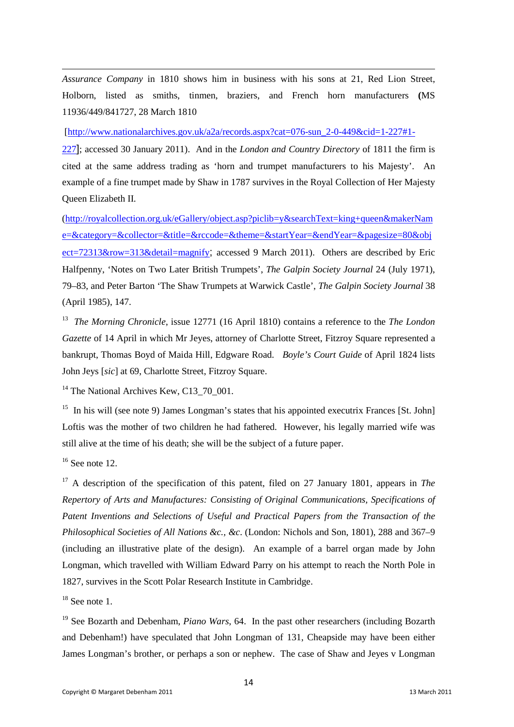*Assurance Company* in 1810 shows him in business with his sons at 21, Red Lion Street, Holborn, listed as smiths, tinmen, braziers, and French horn manufacturers **(**MS 11936/449/841727, 28 March 1810

[\[http://www.nationalarchives.gov.uk/a2a/records.aspx?cat=076-sun\\_2-0-449&cid=1-227#1-](http://www.nationalarchives.gov.uk/a2a/records.aspx?cat=076-sun_2-0-449&cid=1-227#1-227)

[227](http://www.nationalarchives.gov.uk/a2a/records.aspx?cat=076-sun_2-0-449&cid=1-227#1-227)]; accessed 30 January 2011). And in the *London and Country Directory* of 1811 the firm is cited at the same address trading as 'horn and trumpet manufacturers to his Majesty'. An example of a fine trumpet made by Shaw in 1787 survives in the Royal Collection of Her Majesty Queen Elizabeth II.

[\(http://royalcollection.org.uk/eGallery/object.asp?piclib=y&searchText=king+queen&makerNam](http://royalcollection.org.uk/eGallery/object.asp?piclib=y&searchText=king+queen&makerName=&category=&collector=&title=&rccode=&theme=&startYear=&endYear=&pagesize=80&object=72313&row=313&detail=magnify) [e=&category=&collector=&title=&rccode=&theme=&startYear=&endYear=&pagesize=80&obj](http://royalcollection.org.uk/eGallery/object.asp?piclib=y&searchText=king+queen&makerName=&category=&collector=&title=&rccode=&theme=&startYear=&endYear=&pagesize=80&object=72313&row=313&detail=magnify) [ect=72313&row=313&detail=magnify](http://royalcollection.org.uk/eGallery/object.asp?piclib=y&searchText=king+queen&makerName=&category=&collector=&title=&rccode=&theme=&startYear=&endYear=&pagesize=80&object=72313&row=313&detail=magnify); accessed 9 March 2011). Others are described by Eric Halfpenny, 'Notes on Two Later British Trumpets', *The Galpin Society Journal* 24 (July 1971), 79–83, and Peter Barton 'The Shaw Trumpets at Warwick Castle', *The Galpin Society Journal* 38 (April 1985), 147.

<span id="page-15-0"></span>13 *The Morning Chronicle*, issue 12771 (16 April 1810) contains a reference to the *The London Gazette* of 14 April in which Mr Jeyes, attorney of Charlotte Street, Fitzroy Square represented a bankrupt, Thomas Boyd of Maida Hill, Edgware Road. *Boyle's Court Guide* of April 1824 lists John Jeys [*sic*] at 69, Charlotte Street, Fitzroy Square.

<span id="page-15-1"></span><sup>14</sup> The National Archives Kew, C13  $70$  001.

<span id="page-15-2"></span><sup>15</sup> In his will (see note 9) James Longman's states that his appointed executrix Frances [St. John] Loftis was the mother of two children he had fathered. However, his legally married wife was still alive at the time of his death; she will be the subject of a future paper.

<span id="page-15-3"></span> $16$  See note 12.

**.** 

<span id="page-15-4"></span><sup>17</sup> A description of the specification of this patent, filed on 27 January 1801, appears in *The Repertory of Arts and Manufactures: Consisting of Original Communications, Specifications of Patent Inventions and Selections of Useful and Practical Papers from the Transaction of the Philosophical Societies of All Nations &c., &c*. (London: Nichols and Son, 1801), 288 and 367–9 (including an illustrative plate of the design). An example of a barrel organ made by John Longman, which travelled with William Edward Parry on his attempt to reach the North Pole in 1827, survives in the Scott Polar Research Institute in Cambridge.

<span id="page-15-5"></span> $18$  See note 1.

<span id="page-15-6"></span><sup>19</sup> See Bozarth and Debenham, *Piano Wars*, 64. In the past other researchers (including Bozarth and Debenham!) have speculated that John Longman of 131, Cheapside may have been either James Longman's brother, or perhaps a son or nephew. The case of Shaw and Jeyes v Longman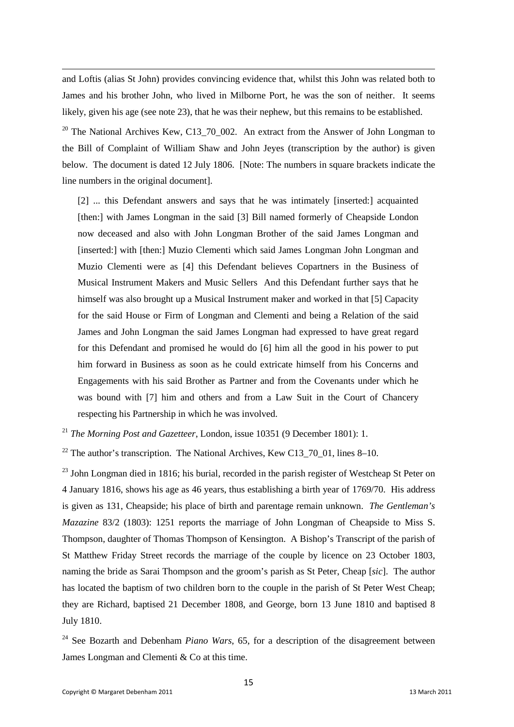and Loftis (alias St John) provides convincing evidence that, whilst this John was related both to James and his brother John, who lived in Milborne Port, he was the son of neither. It seems likely, given his age (see note 23), that he was their nephew, but this remains to be established.

<span id="page-16-0"></span><sup>20</sup> The National Archives Kew, C13 70 002. An extract from the Answer of John Longman to the Bill of Complaint of William Shaw and John Jeyes (transcription by the author) is given below. The document is dated 12 July 1806. [Note: The numbers in square brackets indicate the line numbers in the original document].

[2] ... this Defendant answers and says that he was intimately [inserted:] acquainted [then:] with James Longman in the said [3] Bill named formerly of Cheapside London now deceased and also with John Longman Brother of the said James Longman and [inserted:] with [then:] Muzio Clementi which said James Longman John Longman and Muzio Clementi were as [4] this Defendant believes Copartners in the Business of Musical Instrument Makers and Music Sellers And this Defendant further says that he himself was also brought up a Musical Instrument maker and worked in that [5] Capacity for the said House or Firm of Longman and Clementi and being a Relation of the said James and John Longman the said James Longman had expressed to have great regard for this Defendant and promised he would do [6] him all the good in his power to put him forward in Business as soon as he could extricate himself from his Concerns and Engagements with his said Brother as Partner and from the Covenants under which he was bound with [7] him and others and from a Law Suit in the Court of Chancery respecting his Partnership in which he was involved.

<span id="page-16-1"></span><sup>21</sup> *The Morning Post and Gazetteer*, London, issue 10351 (9 December 1801): 1.

<span id="page-16-2"></span><sup>22</sup> The author's transcription. The National Archives, Kew C13  $70\,$  01, lines 8–10.

<span id="page-16-3"></span> $^{23}$  John Longman died in 1816; his burial, recorded in the parish register of Westcheap St Peter on 4 January 1816, shows his age as 46 years, thus establishing a birth year of 1769/70. His address is given as 131, Cheapside; his place of birth and parentage remain unknown. *The Gentleman's Mazazine* 83/2 (1803): 1251 reports the marriage of John Longman of Cheapside to Miss S. Thompson, daughter of Thomas Thompson of Kensington. A Bishop's Transcript of the parish of St Matthew Friday Street records the marriage of the couple by licence on 23 October 1803, naming the bride as Sarai Thompson and the groom's parish as St Peter, Cheap [*sic*]. The author has located the baptism of two children born to the couple in the parish of St Peter West Cheap; they are Richard, baptised 21 December 1808, and George, born 13 June 1810 and baptised 8 July 1810.

<span id="page-16-4"></span><sup>24</sup> See Bozarth and Debenham *Piano Wars*, 65, for a description of the disagreement between James Longman and Clementi & Co at this time.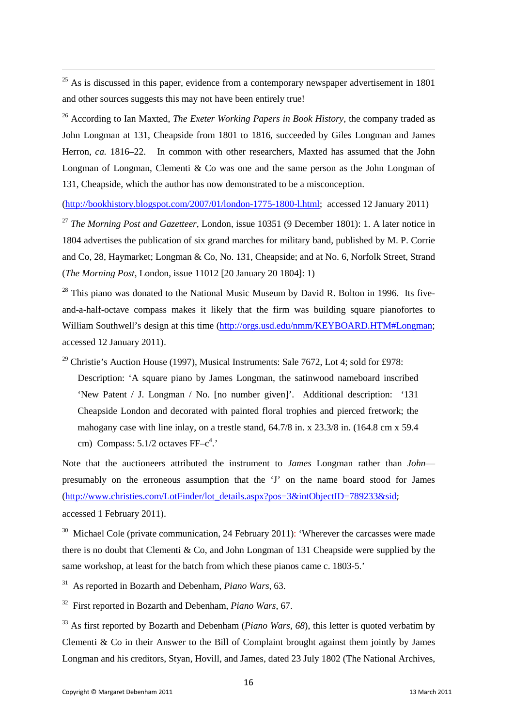<span id="page-17-0"></span> $25$  As is discussed in this paper, evidence from a contemporary newspaper advertisement in 1801 and other sources suggests this may not have been entirely true!

<span id="page-17-1"></span><sup>26</sup> According to Ian Maxted, *The Exeter Working Papers in Book History*, the company traded as John Longman at 131, Cheapside from 1801 to 1816, succeeded by Giles Longman and James Herron, *ca.* 1816–22. In common with other researchers, Maxted has assumed that the John Longman of Longman, Clementi & Co was one and the same person as the John Longman of 131, Cheapside, which the author has now demonstrated to be a misconception.

[\(http://bookhistory.blogspot.com/2007/01/london-1775-1800-l.html;](http://bookhistory.blogspot.com/2007/01/london-1775-1800-l.html) accessed 12 January 2011)

<span id="page-17-2"></span><sup>27</sup> *The Morning Post and Gazetteer*, London, issue 10351 (9 December 1801): 1. A later notice in 1804 advertises the publication of six grand marches for military band, published by M. P. Corrie and Co, 28, Haymarket; Longman & Co, No. 131, Cheapside; and at No. 6, Norfolk Street, Strand (*The Morning Post*, London, issue 11012 [20 January 20 1804]: 1)

<span id="page-17-3"></span> $28$  This piano was donated to the National Music Museum by David R. Bolton in 1996. Its fiveand-a-half-octave compass makes it likely that the firm was building square pianofortes to William Southwell's design at this time [\(http://orgs.usd.edu/nmm/KEYBOARD.HTM#Longman;](http://orgs.usd.edu/nmm/KEYBOARD.HTM#Longman) accessed 12 January 2011).

<span id="page-17-4"></span><sup>29</sup> Christie's Auction House (1997), Musical Instruments: Sale 7672, Lot 4; sold for £978: Description: 'A square piano by James Longman, the satinwood nameboard inscribed 'New Patent / J. Longman / No. [no number given]'. Additional description: '131 Cheapside London and decorated with painted floral trophies and pierced fretwork; the mahogany case with line inlay, on a trestle stand, 64.7/8 in. x 23.3/8 in. (164.8 cm x 59.4) cm) Compass:  $5.1/2$  octaves  $FF-c<sup>4</sup>$ .

Note that the auctioneers attributed the instrument to *James* Longman rather than *John*–– presumably on the erroneous assumption that the 'J' on the name board stood for James [\(http://www.christies.com/LotFinder/lot\\_details.aspx?pos=3&intObjectID=789233&sid](http://www.christies.com/LotFinder/lot_details.aspx?pos=3&intObjectID=789233&sid); accessed 1 February 2011).

<span id="page-17-5"></span><sup>30</sup> Michael Cole (private communication, 24 February 2011): 'Wherever the carcasses were made there is no doubt that Clementi & Co, and John Longman of 131 Cheapside were supplied by the same workshop, at least for the batch from which these pianos came c. 1803-5.'

<span id="page-17-6"></span>31 As reported in Bozarth and Debenham, *Piano Wars*, 63.

<span id="page-17-7"></span>32 First reported in Bozarth and Debenham, *Piano Wars*, 67.

<span id="page-17-8"></span><sup>33</sup> As first reported by Bozarth and Debenham (*Piano Wars*, 68), this letter is quoted verbatim by Clementi & Co in their Answer to the Bill of Complaint brought against them jointly by James Longman and his creditors, Styan, Hovill, and James, dated 23 July 1802 (The National Archives,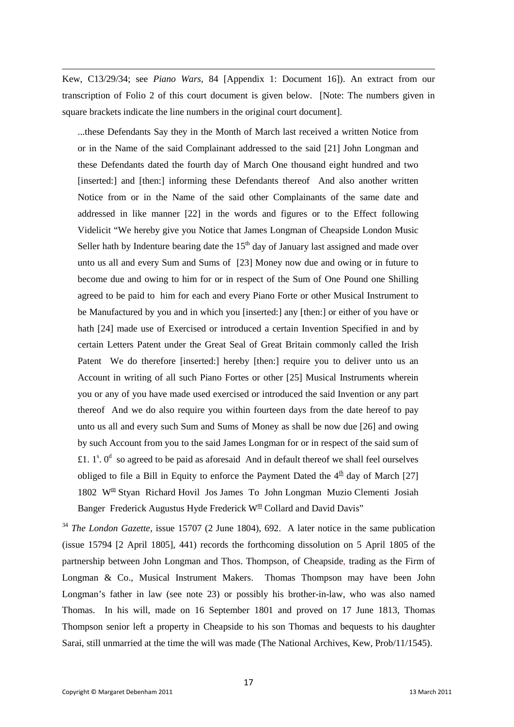Kew, C13/29/34; see *Piano Wars*, 84 [Appendix 1: Document 16]). An extract from our transcription of Folio 2 of this court document is given below. [Note: The numbers given in square brackets indicate the line numbers in the original court document].

...these Defendants Say they in the Month of March last received a written Notice from or in the Name of the said Complainant addressed to the said [21] John Longman and these Defendants dated the fourth day of March One thousand eight hundred and two [inserted:] and [then:] informing these Defendants thereof And also another written Notice from or in the Name of the said other Complainants of the same date and addressed in like manner [22] in the words and figures or to the Effect following Videlicit "We hereby give you Notice that James Longman of Cheapside London Music Seller hath by Indenture bearing date the  $15<sup>th</sup>$  day of January last assigned and made over unto us all and every Sum and Sums of [23] Money now due and owing or in future to become due and owing to him for or in respect of the Sum of One Pound one Shilling agreed to be paid to him for each and every Piano Forte or other Musical Instrument to be Manufactured by you and in which you [inserted:] any [then:] or either of you have or hath [24] made use of Exercised or introduced a certain Invention Specified in and by certain Letters Patent under the Great Seal of Great Britain commonly called the Irish Patent We do therefore [inserted:] hereby [then:] require you to deliver unto us an Account in writing of all such Piano Fortes or other [25] Musical Instruments wherein you or any of you have made used exercised or introduced the said Invention or any part thereof And we do also require you within fourteen days from the date hereof to pay unto us all and every such Sum and Sums of Money as shall be now due [26] and owing by such Account from you to the said James Longman for or in respect of the said sum of £1.  $1^s$ .  $0^d$  so agreed to be paid as aforesaid And in default thereof we shall feel ourselves obliged to file a Bill in Equity to enforce the Payment Dated the  $4<sup>th</sup>$  day of March [27] 1802 W<sup>m</sup> Styan Richard Hovil Jos James To John Longman Muzio Clementi Josiah Banger Frederick Augustus Hyde Frederick W<sup>m</sup> Collard and David Davis"

<span id="page-18-0"></span><sup>34</sup> *The London Gazette*, issue 15707 (2 June 1804), 692. A later notice in the same publication (issue 15794 [2 April 1805], 441) records the forthcoming dissolution on 5 April 1805 of the partnership between John Longman and Thos. Thompson, of Cheapside, trading as the Firm of Longman & Co., Musical Instrument Makers. Thomas Thompson may have been John Longman's father in law (see note 23) or possibly his brother-in-law, who was also named Thomas. In his will, made on 16 September 1801 and proved on 17 June 1813, Thomas Thompson senior left a property in Cheapside to his son Thomas and bequests to his daughter Sarai, still unmarried at the time the will was made (The National Archives, Kew, Prob/11/1545).